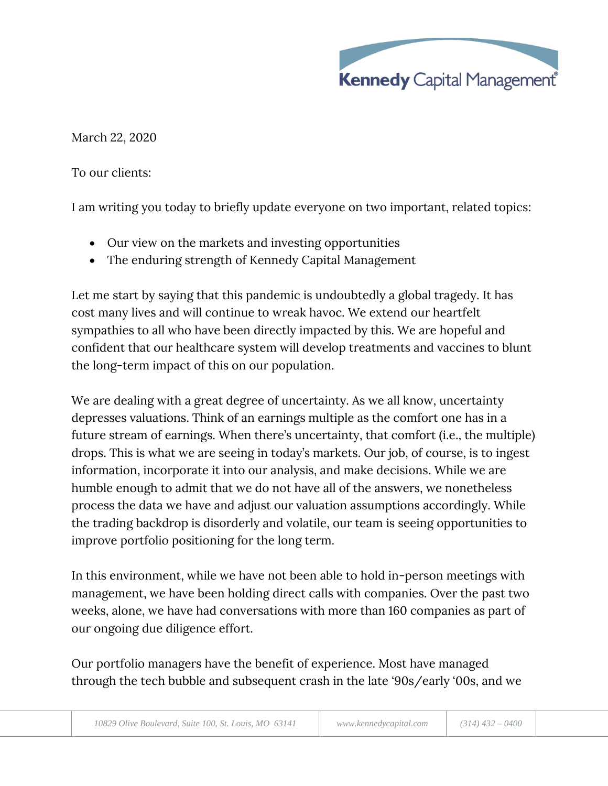

March 22, 2020

To our clients:

I am writing you today to briefly update everyone on two important, related topics:

- Our view on the markets and investing opportunities
- The enduring strength of Kennedy Capital Management

Let me start by saying that this pandemic is undoubtedly a global tragedy. It has cost many lives and will continue to wreak havoc. We extend our heartfelt sympathies to all who have been directly impacted by this. We are hopeful and confident that our healthcare system will develop treatments and vaccines to blunt the long-term impact of this on our population.

We are dealing with a great degree of uncertainty. As we all know, uncertainty depresses valuations. Think of an earnings multiple as the comfort one has in a future stream of earnings. When there's uncertainty, that comfort (i.e., the multiple) drops. This is what we are seeing in today's markets. Our job, of course, is to ingest information, incorporate it into our analysis, and make decisions. While we are humble enough to admit that we do not have all of the answers, we nonetheless process the data we have and adjust our valuation assumptions accordingly. While the trading backdrop is disorderly and volatile, our team is seeing opportunities to improve portfolio positioning for the long term.

In this environment, while we have not been able to hold in-person meetings with management, we have been holding direct calls with companies. Over the past two weeks, alone, we have had conversations with more than 160 companies as part of our ongoing due diligence effort.

Our portfolio managers have the benefit of experience. Most have managed through the tech bubble and subsequent crash in the late '90s/early '00s, and we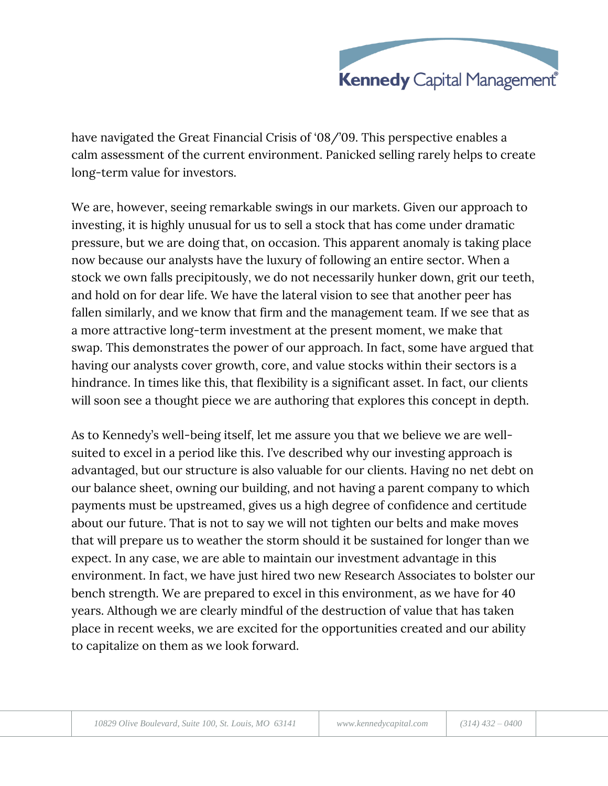

have navigated the Great Financial Crisis of '08/'09. This perspective enables a calm assessment of the current environment. Panicked selling rarely helps to create long-term value for investors.

We are, however, seeing remarkable swings in our markets. Given our approach to investing, it is highly unusual for us to sell a stock that has come under dramatic pressure, but we are doing that, on occasion. This apparent anomaly is taking place now because our analysts have the luxury of following an entire sector. When a stock we own falls precipitously, we do not necessarily hunker down, grit our teeth, and hold on for dear life. We have the lateral vision to see that another peer has fallen similarly, and we know that firm and the management team. If we see that as a more attractive long-term investment at the present moment, we make that swap. This demonstrates the power of our approach. In fact, some have argued that having our analysts cover growth, core, and value stocks within their sectors is a hindrance. In times like this, that flexibility is a significant asset. In fact, our clients will soon see a thought piece we are authoring that explores this concept in depth.

As to Kennedy's well-being itself, let me assure you that we believe we are wellsuited to excel in a period like this. I've described why our investing approach is advantaged, but our structure is also valuable for our clients. Having no net debt on our balance sheet, owning our building, and not having a parent company to which payments must be upstreamed, gives us a high degree of confidence and certitude about our future. That is not to say we will not tighten our belts and make moves that will prepare us to weather the storm should it be sustained for longer than we expect. In any case, we are able to maintain our investment advantage in this environment. In fact, we have just hired two new Research Associates to bolster our bench strength. We are prepared to excel in this environment, as we have for 40 years. Although we are clearly mindful of the destruction of value that has taken place in recent weeks, we are excited for the opportunities created and our ability to capitalize on them as we look forward.